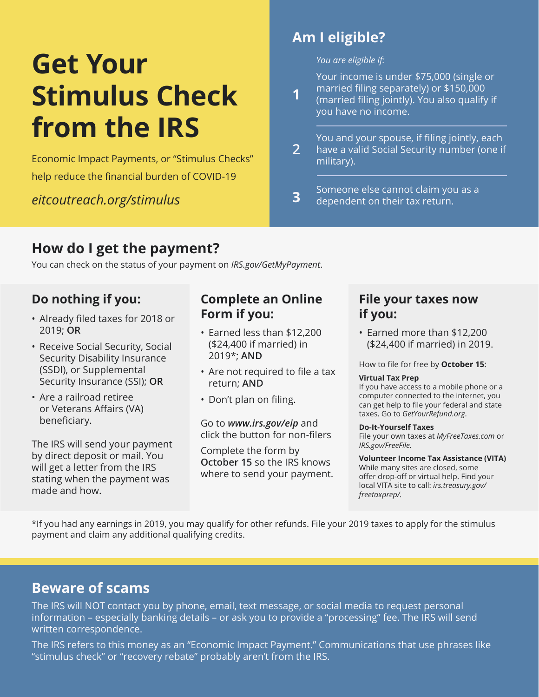# **Get Your Stimulus Check from the IRS**

Economic Impact Payments, or "Stimulus Checks" help reduce the financial burden of COVID-19

*eitcoutreach.org/stimulus*

# **Am I eligible?**

**1**

*You are eligible if:*

Your income is under \$75,000 (single or married filing separately) or \$150,000

(married filing jointly). You also qualify if you have no income.

**2** You and your spouse, if filing jointly, each have a valid Social Security number (one if military).

**3** Someone else cannot claim you as a dependent on their tax return.

# **How do I get the payment?**

You can check on the status of your payment on *IRS.gov/GetMyPayment*.

- Already filed taxes for 2018 or 2019; **OR**
- Receive Social Security, Social Security Disability Insurance (SSDI), or Supplemental Security Insurance (SSI); **OR**
- Are a railroad retiree or Veterans Affairs (VA) beneficiary.

The IRS will send your payment by direct deposit or mail. You will get a letter from the IRS stating when the payment was made and how.

### **Do nothing if you: Complete an Online Form if you:**

- Earned less than \$12,200 (\$24,400 if married) in 2019\*; **AND**
- Are not required to file a tax return; **AND**
- Don't plan on filing.

Go to *www.irs.gov/eip* and click the button for non-filers

Complete the form by **October 15** so the IRS knows where to send your payment.

#### **File your taxes now if you:**

• Earned more than \$12,200 (\$24,400 if married) in 2019.

How to file for free by **October 15**:

#### **Virtual Tax Prep**

If you have access to a mobile phone or a computer connected to the internet, you can get help to file your federal and state taxes. Go to *GetYourRefund.org*.

#### **Do-It-Yourself Taxes**

File your own taxes at *MyFreeTaxes.com* or *IRS.gov/FreeFile.*

#### **Volunteer Income Tax Assistance (VITA)**

While many sites are closed, some offer drop-off or virtual help. Find your local VITA site to call: *irs.treasury.gov/ freetaxprep/.*

\*If you had any earnings in 2019, you may qualify for other refunds. File your 2019 taxes to apply for the stimulus payment and claim any additional qualifying credits.

## **Beware of scams**

The IRS will NOT contact you by phone, email, text message, or social media to request personal information – especially banking details – or ask you to provide a "processing" fee. The IRS will send written correspondence.

The IRS refers to this money as an "Economic Impact Payment." Communications that use phrases like "stimulus check" or "recovery rebate" probably aren't from the IRS.